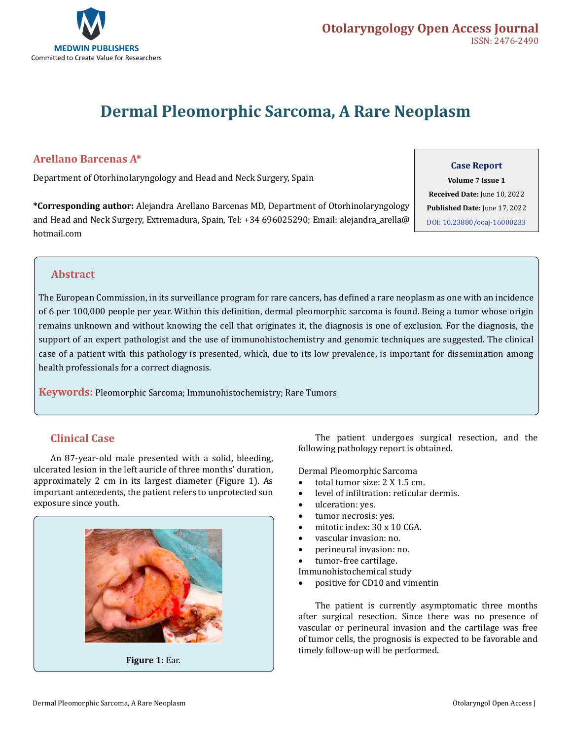

# **Dermal Pleomorphic Sarcoma, A Rare Neoplasm**

### **Arellano Barcenas A\***

Department of Otorhinolaryngology and Head and Neck Surgery, Spain

**\*Corresponding author:** Alejandra Arellano Barcenas MD, Department of Otorhinolaryngology and Head and Neck Surgery, Extremadura, Spain, Tel: +34 696025290; Email: alejandra\_arella@ hotmail.com

# **Case Report**

**Volume 7 Issue 1 Received Date:** June 10, 2022 **Published Date:** June 17, 2022 [DOI: 10.23880/ooaj-16000233](https://doi.org/10.23880/ooaj-16000233)

#### **Abstract**

The European Commission, in its surveillance program for rare cancers, has defined a rare neoplasm as one with an incidence of 6 per 100,000 people per year. Within this definition, dermal pleomorphic sarcoma is found. Being a tumor whose origin remains unknown and without knowing the cell that originates it, the diagnosis is one of exclusion. For the diagnosis, the support of an expert pathologist and the use of immunohistochemistry and genomic techniques are suggested. The clinical case of a patient with this pathology is presented, which, due to its low prevalence, is important for dissemination among health professionals for a correct diagnosis.

**Keywords:** Pleomorphic Sarcoma; Immunohistochemistry; Rare Tumors

## **Clinical Case**

An 87-year-old male presented with a solid, bleeding, ulcerated lesion in the left auricle of three months' duration, approximately 2 cm in its largest diameter (Figure 1). As important antecedents, the patient refers to unprotected sun exposure since youth.



The patient undergoes surgical resection, and the following pathology report is obtained.

Dermal Pleomorphic Sarcoma

- total tumor size: 2 X 1.5 cm.
- level of infiltration: reticular dermis.
- ulceration: yes.
- tumor necrosis: yes.<br>• mitotic index:  $30 \times 1$
- mitotic index: 30 x 10 CGA.
- vascular invasion: no.
- perineural invasion: no.
- tumor-free cartilage.

Immunohistochemical study

positive for CD10 and vimentin

The patient is currently asymptomatic three months after surgical resection. Since there was no presence of vascular or perineural invasion and the cartilage was free of tumor cells, the prognosis is expected to be favorable and timely follow-up will be performed.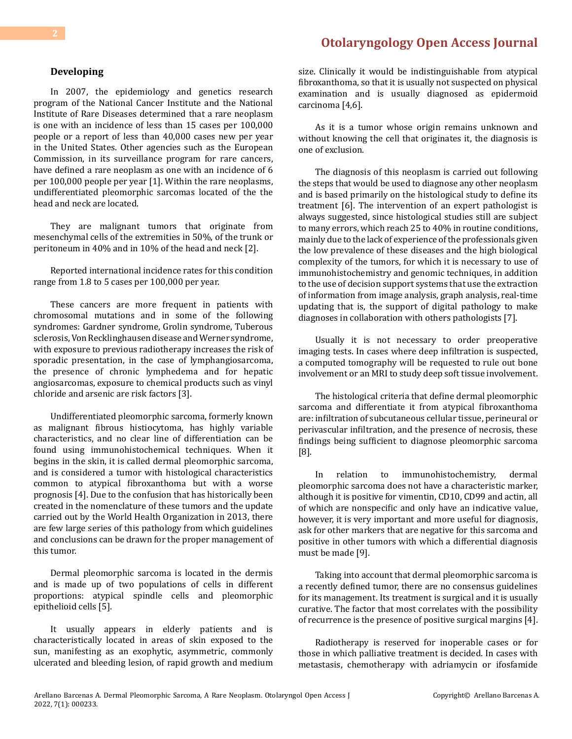#### **Developing**

In 2007, the epidemiology and genetics research program of the National Cancer Institute and the National Institute of Rare Diseases determined that a rare neoplasm is one with an incidence of less than 15 cases per 100,000 people or a report of less than 40,000 cases new per year in the United States. Other agencies such as the European Commission, in its surveillance program for rare cancers, have defined a rare neoplasm as one with an incidence of 6 per 100,000 people per year [1]. Within the rare neoplasms, undifferentiated pleomorphic sarcomas located of the the head and neck are located.

They are malignant tumors that originate from mesenchymal cells of the extremities in 50%, of the trunk or peritoneum in 40% and in 10% of the head and neck [2].

Reported international incidence rates for this condition range from 1.8 to 5 cases per 100,000 per year.

These cancers are more frequent in patients with chromosomal mutations and in some of the following syndromes: Gardner syndrome, Grolin syndrome, Tuberous sclerosis, Von Recklinghausen disease and Werner syndrome, with exposure to previous radiotherapy increases the risk of sporadic presentation, in the case of lymphangiosarcoma, the presence of chronic lymphedema and for hepatic angiosarcomas, exposure to chemical products such as vinyl chloride and arsenic are risk factors [3].

Undifferentiated pleomorphic sarcoma, formerly known as malignant fibrous histiocytoma, has highly variable characteristics, and no clear line of differentiation can be found using immunohistochemical techniques. When it begins in the skin, it is called dermal pleomorphic sarcoma, and is considered a tumor with histological characteristics common to atypical fibroxanthoma but with a worse prognosis [4]. Due to the confusion that has historically been created in the nomenclature of these tumors and the update carried out by the World Health Organization in 2013, there are few large series of this pathology from which guidelines and conclusions can be drawn for the proper management of this tumor.

Dermal pleomorphic sarcoma is located in the dermis and is made up of two populations of cells in different proportions: atypical spindle cells and pleomorphic epithelioid cells [5].

It usually appears in elderly patients and is characteristically located in areas of skin exposed to the sun, manifesting as an exophytic, asymmetric, commonly ulcerated and bleeding lesion, of rapid growth and medium

size. Clinically it would be indistinguishable from atypical fibroxanthoma, so that it is usually not suspected on physical examination and is usually diagnosed as epidermoid carcinoma [4,6].

As it is a tumor whose origin remains unknown and without knowing the cell that originates it, the diagnosis is one of exclusion.

The diagnosis of this neoplasm is carried out following the steps that would be used to diagnose any other neoplasm and is based primarily on the histological study to define its treatment [6]. The intervention of an expert pathologist is always suggested, since histological studies still are subject to many errors, which reach 25 to 40% in routine conditions, mainly due to the lack of experience of the professionals given the low prevalence of these diseases and the high biological complexity of the tumors, for which it is necessary to use of immunohistochemistry and genomic techniques, in addition to the use of decision support systems that use the extraction of information from image analysis, graph analysis, real-time updating that is, the support of digital pathology to make diagnoses in collaboration with others pathologists [7].

Usually it is not necessary to order preoperative imaging tests. In cases where deep infiltration is suspected, a computed tomography will be requested to rule out bone involvement or an MRI to study deep soft tissue involvement.

The histological criteria that define dermal pleomorphic sarcoma and differentiate it from atypical fibroxanthoma are: infiltration of subcutaneous cellular tissue, perineural or perivascular infiltration, and the presence of necrosis, these findings being sufficient to diagnose pleomorphic sarcoma [8].

In relation to immunohistochemistry, dermal pleomorphic sarcoma does not have a characteristic marker, although it is positive for vimentin, CD10, CD99 and actin, all of which are nonspecific and only have an indicative value, however, it is very important and more useful for diagnosis, ask for other markers that are negative for this sarcoma and positive in other tumors with which a differential diagnosis must be made [9].

Taking into account that dermal pleomorphic sarcoma is a recently defined tumor, there are no consensus guidelines for its management. Its treatment is surgical and it is usually curative. The factor that most correlates with the possibility of recurrence is the presence of positive surgical margins [4].

Radiotherapy is reserved for inoperable cases or for those in which palliative treatment is decided. In cases with metastasis, chemotherapy with adriamycin or ifosfamide